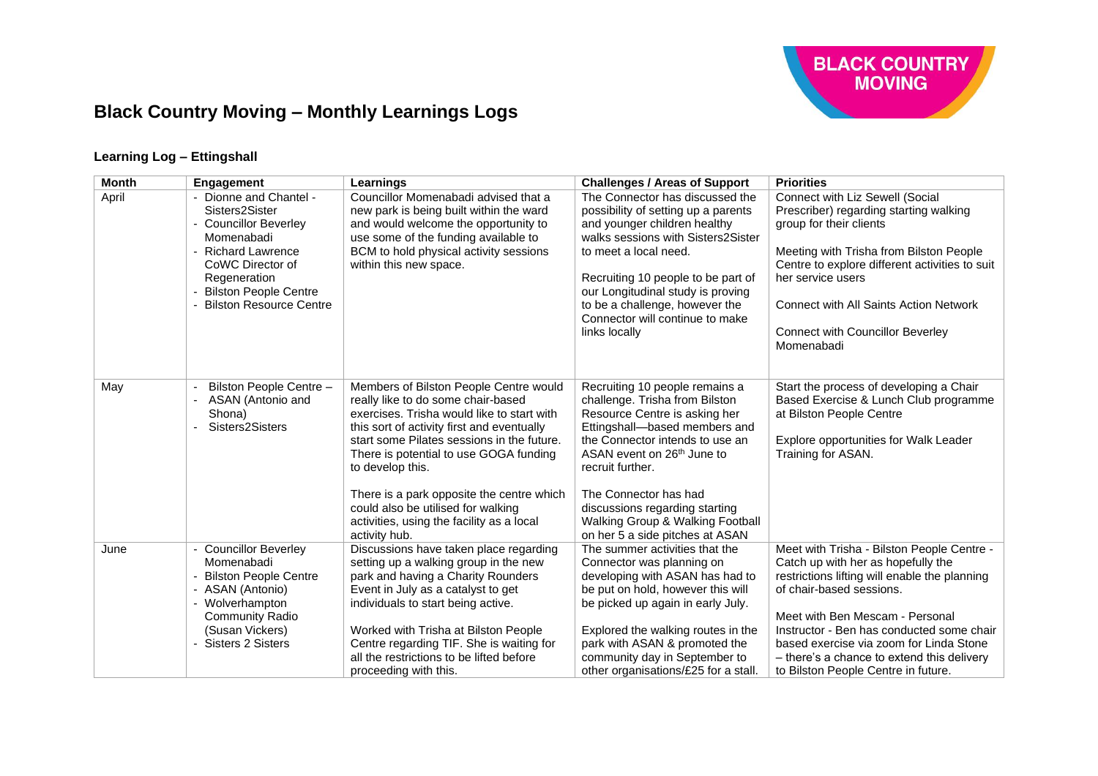

#### **Learning Log – Ettingshall**

| <b>Month</b> | <b>Engagement</b>                                                                                    | Learnings                                                                                                                                                                                                                                                                            | <b>Challenges / Areas of Support</b>                                                                                                                                                                                                | <b>Priorities</b>                                                                                                                                                           |
|--------------|------------------------------------------------------------------------------------------------------|--------------------------------------------------------------------------------------------------------------------------------------------------------------------------------------------------------------------------------------------------------------------------------------|-------------------------------------------------------------------------------------------------------------------------------------------------------------------------------------------------------------------------------------|-----------------------------------------------------------------------------------------------------------------------------------------------------------------------------|
| April        | Dionne and Chantel -<br>$\blacksquare$<br>Sisters2Sister<br><b>Councillor Beverley</b><br>Momenabadi | Councillor Momenabadi advised that a<br>new park is being built within the ward<br>and would welcome the opportunity to<br>use some of the funding available to                                                                                                                      | The Connector has discussed the<br>possibility of setting up a parents<br>and younger children healthy<br>walks sessions with Sisters2Sister                                                                                        | Connect with Liz Sewell (Social<br>Prescriber) regarding starting walking<br>group for their clients                                                                        |
|              | <b>Richard Lawrence</b><br>CoWC Director of<br>Regeneration<br><b>Bilston People Centre</b>          | BCM to hold physical activity sessions<br>within this new space.                                                                                                                                                                                                                     | to meet a local need.<br>Recruiting 10 people to be part of<br>our Longitudinal study is proving                                                                                                                                    | Meeting with Trisha from Bilston People<br>Centre to explore different activities to suit<br>her service users                                                              |
|              | <b>Bilston Resource Centre</b>                                                                       |                                                                                                                                                                                                                                                                                      | to be a challenge, however the<br>Connector will continue to make                                                                                                                                                                   | <b>Connect with All Saints Action Network</b>                                                                                                                               |
|              |                                                                                                      |                                                                                                                                                                                                                                                                                      | links locally                                                                                                                                                                                                                       | <b>Connect with Councillor Beverley</b><br>Momenabadi                                                                                                                       |
| May          | Bilston People Centre -<br>ASAN (Antonio and<br>Shona)<br>Sisters2Sisters                            | Members of Bilston People Centre would<br>really like to do some chair-based<br>exercises. Trisha would like to start with<br>this sort of activity first and eventually<br>start some Pilates sessions in the future.<br>There is potential to use GOGA funding<br>to develop this. | Recruiting 10 people remains a<br>challenge. Trisha from Bilston<br>Resource Centre is asking her<br>Ettingshall-based members and<br>the Connector intends to use an<br>ASAN event on 26 <sup>th</sup> June to<br>recruit further. | Start the process of developing a Chair<br>Based Exercise & Lunch Club programme<br>at Bilston People Centre<br>Explore opportunities for Walk Leader<br>Training for ASAN. |
|              |                                                                                                      | There is a park opposite the centre which<br>could also be utilised for walking<br>activities, using the facility as a local<br>activity hub.                                                                                                                                        | The Connector has had<br>discussions regarding starting<br>Walking Group & Walking Football<br>on her 5 a side pitches at ASAN                                                                                                      |                                                                                                                                                                             |
| June         | <b>Councillor Beverley</b><br>Momenabadi                                                             | Discussions have taken place regarding<br>setting up a walking group in the new                                                                                                                                                                                                      | The summer activities that the<br>Connector was planning on                                                                                                                                                                         | Meet with Trisha - Bilston People Centre -<br>Catch up with her as hopefully the                                                                                            |
|              | <b>Bilston People Centre</b><br>- ASAN (Antonio)                                                     | park and having a Charity Rounders<br>Event in July as a catalyst to get                                                                                                                                                                                                             | developing with ASAN has had to<br>be put on hold, however this will                                                                                                                                                                | restrictions lifting will enable the planning<br>of chair-based sessions.                                                                                                   |
|              | - Wolverhampton<br>Community Radio                                                                   | individuals to start being active.                                                                                                                                                                                                                                                   | be picked up again in early July.                                                                                                                                                                                                   | Meet with Ben Mescam - Personal                                                                                                                                             |
|              | (Susan Vickers)                                                                                      | Worked with Trisha at Bilston People                                                                                                                                                                                                                                                 | Explored the walking routes in the                                                                                                                                                                                                  | Instructor - Ben has conducted some chair                                                                                                                                   |
|              | <b>Sisters 2 Sisters</b>                                                                             | Centre regarding TIF. She is waiting for                                                                                                                                                                                                                                             | park with ASAN & promoted the                                                                                                                                                                                                       | based exercise via zoom for Linda Stone                                                                                                                                     |
|              |                                                                                                      | all the restrictions to be lifted before                                                                                                                                                                                                                                             | community day in September to                                                                                                                                                                                                       | - there's a chance to extend this delivery                                                                                                                                  |
|              |                                                                                                      | proceeding with this.                                                                                                                                                                                                                                                                | other organisations/£25 for a stall.                                                                                                                                                                                                | to Bilston People Centre in future.                                                                                                                                         |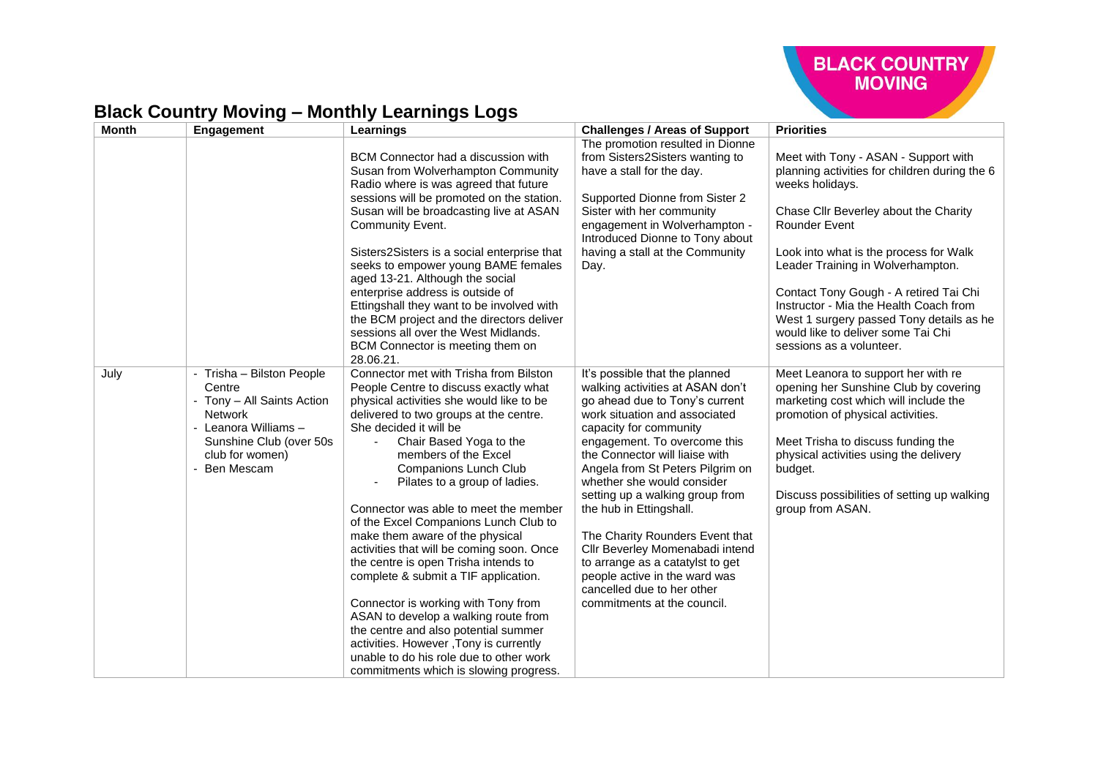

| <b>Month</b> | Engagement                                                                                                                                                                 | Learnings                                                                                                                                                                                                                                                                                                                                                                                                                                                                                                                                                                                                                                                                                                                                                                                                                    | <b>Challenges / Areas of Support</b>                                                                                                                                                                                                                                                                                                                                                                                                                                                                                                                                      | <b>Priorities</b>                                                                                                                                                                                                                                                                                                                                                                                                                                          |
|--------------|----------------------------------------------------------------------------------------------------------------------------------------------------------------------------|------------------------------------------------------------------------------------------------------------------------------------------------------------------------------------------------------------------------------------------------------------------------------------------------------------------------------------------------------------------------------------------------------------------------------------------------------------------------------------------------------------------------------------------------------------------------------------------------------------------------------------------------------------------------------------------------------------------------------------------------------------------------------------------------------------------------------|---------------------------------------------------------------------------------------------------------------------------------------------------------------------------------------------------------------------------------------------------------------------------------------------------------------------------------------------------------------------------------------------------------------------------------------------------------------------------------------------------------------------------------------------------------------------------|------------------------------------------------------------------------------------------------------------------------------------------------------------------------------------------------------------------------------------------------------------------------------------------------------------------------------------------------------------------------------------------------------------------------------------------------------------|
|              |                                                                                                                                                                            | BCM Connector had a discussion with<br>Susan from Wolverhampton Community<br>Radio where is was agreed that future<br>sessions will be promoted on the station.<br>Susan will be broadcasting live at ASAN<br>Community Event.<br>Sisters2Sisters is a social enterprise that<br>seeks to empower young BAME females<br>aged 13-21. Although the social<br>enterprise address is outside of<br>Ettingshall they want to be involved with<br>the BCM project and the directors deliver<br>sessions all over the West Midlands.<br>BCM Connector is meeting them on<br>28.06.21.                                                                                                                                                                                                                                               | The promotion resulted in Dionne<br>from Sisters2Sisters wanting to<br>have a stall for the day.<br>Supported Dionne from Sister 2<br>Sister with her community<br>engagement in Wolverhampton -<br>Introduced Dionne to Tony about<br>having a stall at the Community<br>Day.                                                                                                                                                                                                                                                                                            | Meet with Tony - ASAN - Support with<br>planning activities for children during the 6<br>weeks holidays.<br>Chase Cllr Beverley about the Charity<br><b>Rounder Event</b><br>Look into what is the process for Walk<br>Leader Training in Wolverhampton.<br>Contact Tony Gough - A retired Tai Chi<br>Instructor - Mia the Health Coach from<br>West 1 surgery passed Tony details as he<br>would like to deliver some Tai Chi<br>sessions as a volunteer. |
| July         | - Trisha - Bilston People<br>Centre<br>- Tony - All Saints Action<br><b>Network</b><br>- Leanora Williams -<br>Sunshine Club (over 50s)<br>club for women)<br>- Ben Mescam | Connector met with Trisha from Bilston<br>People Centre to discuss exactly what<br>physical activities she would like to be<br>delivered to two groups at the centre.<br>She decided it will be<br>Chair Based Yoga to the<br>members of the Excel<br><b>Companions Lunch Club</b><br>Pilates to a group of ladies.<br>Connector was able to meet the member<br>of the Excel Companions Lunch Club to<br>make them aware of the physical<br>activities that will be coming soon. Once<br>the centre is open Trisha intends to<br>complete & submit a TIF application.<br>Connector is working with Tony from<br>ASAN to develop a walking route from<br>the centre and also potential summer<br>activities. However , Tony is currently<br>unable to do his role due to other work<br>commitments which is slowing progress. | It's possible that the planned<br>walking activities at ASAN don't<br>go ahead due to Tony's current<br>work situation and associated<br>capacity for community<br>engagement. To overcome this<br>the Connector will liaise with<br>Angela from St Peters Pilgrim on<br>whether she would consider<br>setting up a walking group from<br>the hub in Ettingshall.<br>The Charity Rounders Event that<br>Cllr Beverley Momenabadi intend<br>to arrange as a catatylst to get<br>people active in the ward was<br>cancelled due to her other<br>commitments at the council. | Meet Leanora to support her with re<br>opening her Sunshine Club by covering<br>marketing cost which will include the<br>promotion of physical activities.<br>Meet Trisha to discuss funding the<br>physical activities using the delivery<br>budget.<br>Discuss possibilities of setting up walking<br>group from ASAN.                                                                                                                                   |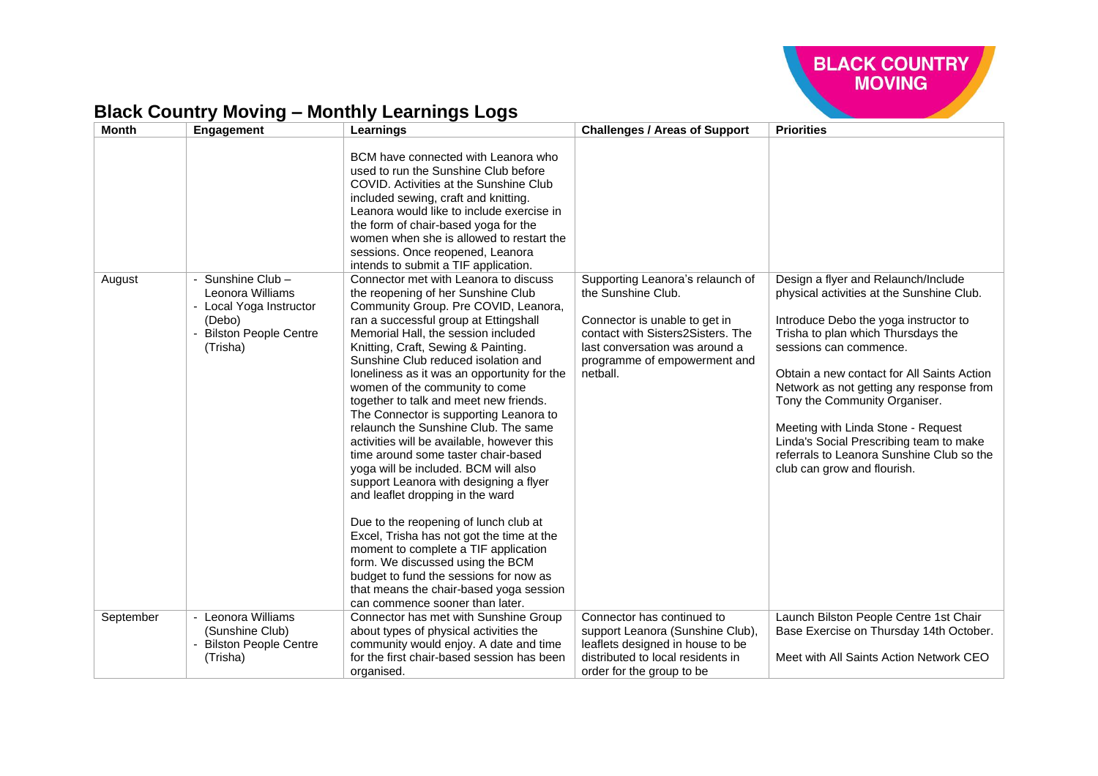

| <b>Month</b> | Engagement                                                                                                           | Learnings                                                                                                                                                                                                                                                                                                                                                                                                                                                                                                                                                                                                                                                                                                                                                                                                                                                                                                                                                        | <b>Challenges / Areas of Support</b>                                                                                                                                                                       | <b>Priorities</b>                                                                                                                                                                                                                                                                                                                                                                                                                                                                 |
|--------------|----------------------------------------------------------------------------------------------------------------------|------------------------------------------------------------------------------------------------------------------------------------------------------------------------------------------------------------------------------------------------------------------------------------------------------------------------------------------------------------------------------------------------------------------------------------------------------------------------------------------------------------------------------------------------------------------------------------------------------------------------------------------------------------------------------------------------------------------------------------------------------------------------------------------------------------------------------------------------------------------------------------------------------------------------------------------------------------------|------------------------------------------------------------------------------------------------------------------------------------------------------------------------------------------------------------|-----------------------------------------------------------------------------------------------------------------------------------------------------------------------------------------------------------------------------------------------------------------------------------------------------------------------------------------------------------------------------------------------------------------------------------------------------------------------------------|
|              |                                                                                                                      | BCM have connected with Leanora who<br>used to run the Sunshine Club before<br>COVID. Activities at the Sunshine Club<br>included sewing, craft and knitting.<br>Leanora would like to include exercise in<br>the form of chair-based yoga for the<br>women when she is allowed to restart the<br>sessions. Once reopened, Leanora<br>intends to submit a TIF application.                                                                                                                                                                                                                                                                                                                                                                                                                                                                                                                                                                                       |                                                                                                                                                                                                            |                                                                                                                                                                                                                                                                                                                                                                                                                                                                                   |
| August       | Sunshine Club -<br>Leonora Williams<br>- Local Yoga Instructor<br>(Debo)<br><b>Bilston People Centre</b><br>(Trisha) | Connector met with Leanora to discuss<br>the reopening of her Sunshine Club<br>Community Group. Pre COVID, Leanora,<br>ran a successful group at Ettingshall<br>Memorial Hall, the session included<br>Knitting, Craft, Sewing & Painting.<br>Sunshine Club reduced isolation and<br>loneliness as it was an opportunity for the<br>women of the community to come<br>together to talk and meet new friends.<br>The Connector is supporting Leanora to<br>relaunch the Sunshine Club. The same<br>activities will be available, however this<br>time around some taster chair-based<br>yoga will be included. BCM will also<br>support Leanora with designing a flyer<br>and leaflet dropping in the ward<br>Due to the reopening of lunch club at<br>Excel, Trisha has not got the time at the<br>moment to complete a TIF application<br>form. We discussed using the BCM<br>budget to fund the sessions for now as<br>that means the chair-based yoga session | Supporting Leanora's relaunch of<br>the Sunshine Club.<br>Connector is unable to get in<br>contact with Sisters2Sisters. The<br>last conversation was around a<br>programme of empowerment and<br>netball. | Design a flyer and Relaunch/Include<br>physical activities at the Sunshine Club.<br>Introduce Debo the yoga instructor to<br>Trisha to plan which Thursdays the<br>sessions can commence.<br>Obtain a new contact for All Saints Action<br>Network as not getting any response from<br>Tony the Community Organiser.<br>Meeting with Linda Stone - Request<br>Linda's Social Prescribing team to make<br>referrals to Leanora Sunshine Club so the<br>club can grow and flourish. |
| September    | - Leonora Williams                                                                                                   | can commence sooner than later.<br>Connector has met with Sunshine Group                                                                                                                                                                                                                                                                                                                                                                                                                                                                                                                                                                                                                                                                                                                                                                                                                                                                                         | Connector has continued to                                                                                                                                                                                 | Launch Bilston People Centre 1st Chair                                                                                                                                                                                                                                                                                                                                                                                                                                            |
|              | (Sunshine Club)                                                                                                      | about types of physical activities the                                                                                                                                                                                                                                                                                                                                                                                                                                                                                                                                                                                                                                                                                                                                                                                                                                                                                                                           | support Leanora (Sunshine Club),                                                                                                                                                                           | Base Exercise on Thursday 14th October.                                                                                                                                                                                                                                                                                                                                                                                                                                           |
|              | <b>Bilston People Centre</b>                                                                                         | community would enjoy. A date and time                                                                                                                                                                                                                                                                                                                                                                                                                                                                                                                                                                                                                                                                                                                                                                                                                                                                                                                           | leaflets designed in house to be                                                                                                                                                                           |                                                                                                                                                                                                                                                                                                                                                                                                                                                                                   |
|              | (Trisha)                                                                                                             | for the first chair-based session has been                                                                                                                                                                                                                                                                                                                                                                                                                                                                                                                                                                                                                                                                                                                                                                                                                                                                                                                       | distributed to local residents in                                                                                                                                                                          | Meet with All Saints Action Network CEO                                                                                                                                                                                                                                                                                                                                                                                                                                           |
|              |                                                                                                                      | organised.                                                                                                                                                                                                                                                                                                                                                                                                                                                                                                                                                                                                                                                                                                                                                                                                                                                                                                                                                       | order for the group to be                                                                                                                                                                                  |                                                                                                                                                                                                                                                                                                                                                                                                                                                                                   |